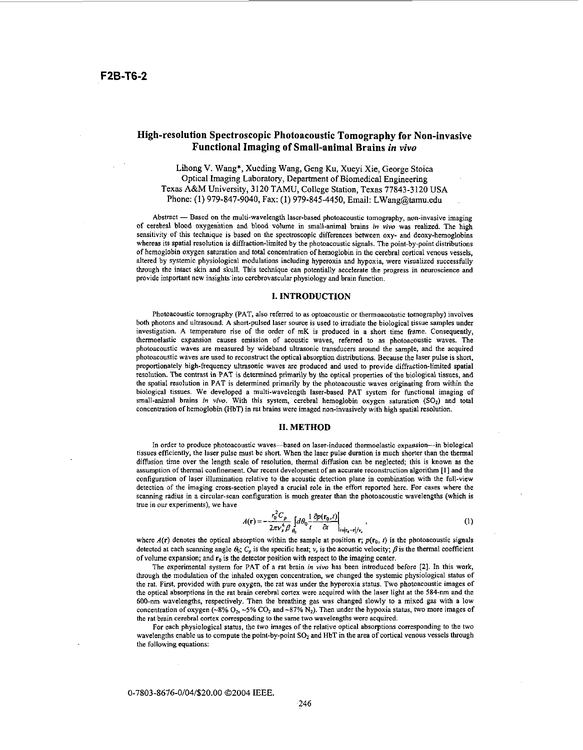# **High-resolution Spectroscopic Photoacoustic Tomography for Non-invasive Functional Imaging of Small-animal Brains** *in vivo*

Lihong **V.** Wang\*, Xueding Wang, Geng Ku, Xueyi Xie, George Stoica Optical Imaging Laboratory, Department of Biomedical Engineering Texas A&M University, 3120 TAMU, College Station, Texas 77843-3120 USA Phone: (1) 979-847-9040, Fax: (I) 979-845-4450, Email: [LWang@tamu.edu](mailto:LWang@tamu.edu)

Abstract - Based on the multi-wavelength laser-based photoacoustic tomography, non-invasive imaging of cerebral blood oxygmation and blood volume in small-animal brains *in* vivo was realized. The high sensitivity of this technique is based on the spectroscopic differences between oxy- and deoxy-hemoglobins whereas its spatial resolution **is** diffraction-limited by the photoacoustic signals. The point-by-point distributions of hemoglobin oxygen saturation and total concentration of hemoglobin in the cerebral cortical venous vessels, altered by systemic physiological modulations including hyperoxia and hypoxia, were visualized successfully through the intact skin and skull. This technique can potentially accelerate the progress in neuroscience and provide important new insights into cerebrovascular physiology and brain function.

#### **I. INTRODUCTION**

Photoacoustic tomography (PAT, also referred to as optoacoustic or thermoacobstic tomography) involves both photons and ultrasound. A short-pulsed laser source is used to irradiate the biological tissue samples under investigation. A temperature rise of the order of mK **is** produced in a short time frame. Consequently, thermoelastic expansion causes emission of acoustic waves, referred to as photoacoustic waves. The photoacoustic waves are measured by wideband ultrasonic transducers around the sample, and the acquired photoacoustic waves are used to reconstruct the optical absorption distributions. Because the laser pulse is short, proportionately high-frequency ultrasonic waves are produced and used to provide diffraction-limited spatial resolution. The contrast in PAT **is** determined primarily by the optical properties of the biological tissues, and the spatial resolution in PAT is determined primarily by the photoacoustic waves originating **from** within the biological tissues. We developed a multi-wavelength laser-based PAT system for functional imaging of small-animal brains *in vivo*. With this system, cerebral hemoglobin oxygen saturation (SO<sub>2</sub>) and total concentration of hemoglobin (HbT) in rat brains were imaged non-invasively with high spatial resolution.

#### **11. METHOD**

In order to produce photoacoustic waves-based on laser-induced thermoelastic expansion-in biological tissues efficiently, the laser pulse must be short. When the laser pulse duration is much shorter than the thermal diffusion time over the length scale of resolution, thermal dif€usion can be neglected; this is known **as** the assumption of thermal confinement. Our recent development of an accurate reconstruction algorithm [1] and the configuration of laser illumination relative to the acoustic detection plane in combination with the full-view detection of the imaging cross-section played a crucial role in the effort reported here. For cases where the scanning radius in a circular-scan configuration is much greater than the photoacoustic wavelengths (which is true in our experiments), we have

$$
A(\mathbf{r}) = -\frac{r_0^2 C_p}{2\pi v_s^4 \beta} \int_{\theta_0} d\theta_0 \frac{1}{t} \frac{\partial p(\mathbf{r}_0, t)}{\partial t} \Big|_{t = |\mathbf{r}_0 - \mathbf{r}|/v_s},
$$
(1)

where  $A(r)$  denotes the optical absorption within the sample at position **r**;  $p(r_0, t)$  is the photoacoustic signals detected at each scanning angle  $\theta_0$ ;  $C_p$  is the specific heat;  $v_s$  is the acoustic velocity;  $\beta$  is the thermal coefficient ofvolume expansion; and *ro* is the detector position with respect to the imaging center.

The experimental system for PAT of a rat brain *in vivo* has been introduced before **121.** In this **work,**  through the modulation of the inhaled oxygen concentration, we changed the systemic physiological **status** of the rat. First, provided with pure oxygen, the rat was under the hyperoxia status. Two photoacoustic images of the optical absorptions in the rat brain cerebral cortex were acquired with the laser light at the **584-nm** and the **600-nm** wavelengths, respectively, Then the breathing **gas** was changed slowly to a mixed gas with a low concentration of oxygen (~8%  $O_2$ , ~5%  $CO_2$  and ~87%  $N_2$ ). Then under the hypoxia status, two more images of the rat brain cerebral cortex corresponding to the **same two** wavelengths were acquired.

For each physiological status, the two images of the relative optical absorptions corresponding to the two wavelengths enable us to compute the point-by-point SO<sub>2</sub> and HbT in the area of cortical venous vessels through the following equations: